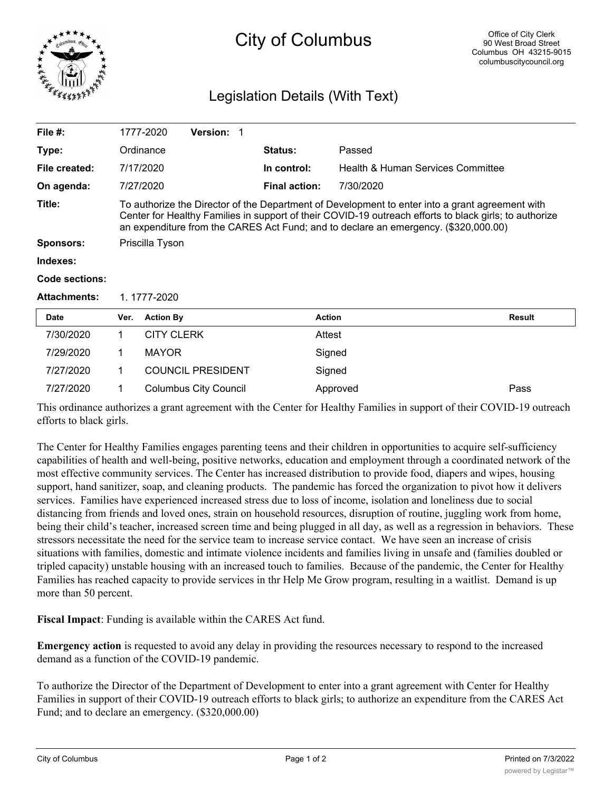

## City of Columbus

## Legislation Details (With Text)

| File $#$ :          |                                                                                                                                                                                                                                                                                                  | 1777-2020         | <b>Version:</b>              |                      |                                   |               |
|---------------------|--------------------------------------------------------------------------------------------------------------------------------------------------------------------------------------------------------------------------------------------------------------------------------------------------|-------------------|------------------------------|----------------------|-----------------------------------|---------------|
| Type:               |                                                                                                                                                                                                                                                                                                  | Ordinance         |                              | <b>Status:</b>       | Passed                            |               |
| File created:       |                                                                                                                                                                                                                                                                                                  | 7/17/2020         |                              | In control:          | Health & Human Services Committee |               |
| On agenda:          |                                                                                                                                                                                                                                                                                                  | 7/27/2020         |                              | <b>Final action:</b> | 7/30/2020                         |               |
| Title:              | To authorize the Director of the Department of Development to enter into a grant agreement with<br>Center for Healthy Families in support of their COVID-19 outreach efforts to black girls; to authorize<br>an expenditure from the CARES Act Fund; and to declare an emergency. (\$320,000.00) |                   |                              |                      |                                   |               |
| Sponsors:           | Priscilla Tyson                                                                                                                                                                                                                                                                                  |                   |                              |                      |                                   |               |
| Indexes:            |                                                                                                                                                                                                                                                                                                  |                   |                              |                      |                                   |               |
| Code sections:      |                                                                                                                                                                                                                                                                                                  |                   |                              |                      |                                   |               |
| <b>Attachments:</b> | 1.1777-2020                                                                                                                                                                                                                                                                                      |                   |                              |                      |                                   |               |
| Date                | Ver.                                                                                                                                                                                                                                                                                             | <b>Action By</b>  |                              | <b>Action</b>        |                                   | <b>Result</b> |
| 7/30/2020           | 1.                                                                                                                                                                                                                                                                                               | <b>CITY CLERK</b> |                              | Attest               |                                   |               |
| 7/29/2020           | 1                                                                                                                                                                                                                                                                                                | <b>MAYOR</b>      |                              | Signed               |                                   |               |
| 7/27/2020           | 1                                                                                                                                                                                                                                                                                                |                   | <b>COUNCIL PRESIDENT</b>     | Signed               |                                   |               |
| 7/27/2020           |                                                                                                                                                                                                                                                                                                  |                   | <b>Columbus City Council</b> |                      | Approved                          | Pass          |

This ordinance authorizes a grant agreement with the Center for Healthy Families in support of their COVID-19 outreach efforts to black girls.

The Center for Healthy Families engages parenting teens and their children in opportunities to acquire self-sufficiency capabilities of health and well-being, positive networks, education and employment through a coordinated network of the most effective community services. The Center has increased distribution to provide food, diapers and wipes, housing support, hand sanitizer, soap, and cleaning products. The pandemic has forced the organization to pivot how it delivers services. Families have experienced increased stress due to loss of income, isolation and loneliness due to social distancing from friends and loved ones, strain on household resources, disruption of routine, juggling work from home, being their child's teacher, increased screen time and being plugged in all day, as well as a regression in behaviors. These stressors necessitate the need for the service team to increase service contact. We have seen an increase of crisis situations with families, domestic and intimate violence incidents and families living in unsafe and (families doubled or tripled capacity) unstable housing with an increased touch to families. Because of the pandemic, the Center for Healthy Families has reached capacity to provide services in thr Help Me Grow program, resulting in a waitlist. Demand is up more than 50 percent.

**Fiscal Impact**: Funding is available within the CARES Act fund.

**Emergency action** is requested to avoid any delay in providing the resources necessary to respond to the increased demand as a function of the COVID-19 pandemic.

To authorize the Director of the Department of Development to enter into a grant agreement with Center for Healthy Families in support of their COVID-19 outreach efforts to black girls; to authorize an expenditure from the CARES Act Fund; and to declare an emergency. (\$320,000.00)